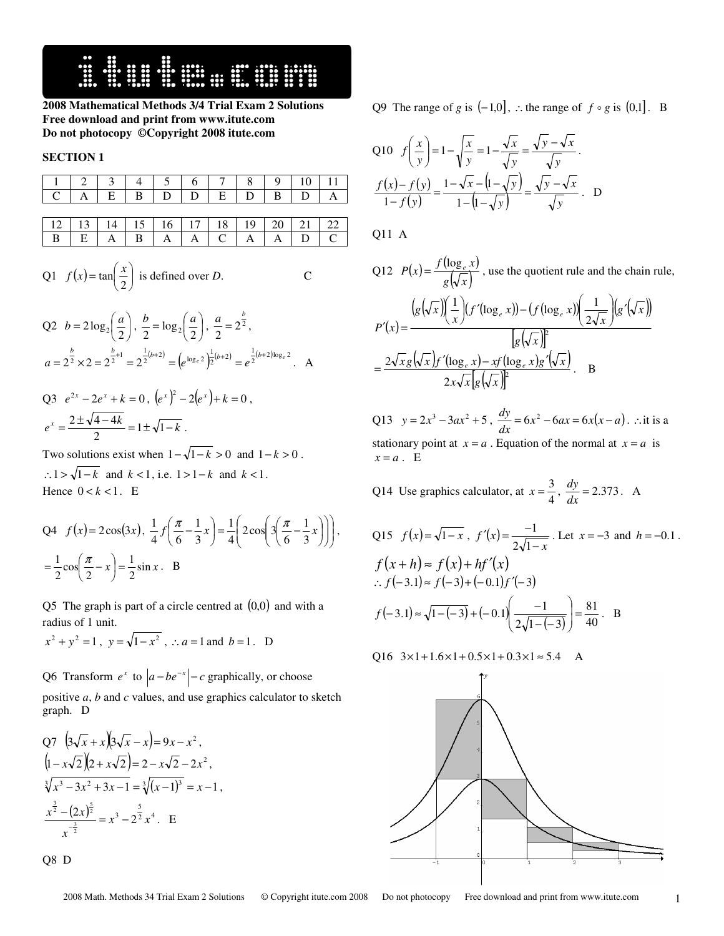**HUBBON RESERVED** 

**2008 Mathematical Methods 3/4 Trial Exam 2 Solutions Free download and print from www.itute.com Do not photocopy ©Copyright 2008 itute.com**

## **SECTION 1**

| 1 2 3 4 5 6 7 8 9 10 11 |  |  |  |  |  |
|-------------------------|--|--|--|--|--|
|                         |  |  |  |  |  |

12 13 14 15 16 17 18 19 20 21 22 B E A B A A C A A D C

Q1 
$$
f(x) = \tan\left(\frac{x}{2}\right)
$$
 is defined over *D*. C

Q2 
$$
b = 2\log_2\left(\frac{a}{2}\right), \frac{b}{2} = \log_2\left(\frac{a}{2}\right), \frac{a}{2} = 2^{\frac{b}{2}},
$$
  
 $a = 2^{\frac{b}{2}} \times 2 = 2^{\frac{b}{2}+1} = 2^{\frac{1}{2}(b+2)} = (e^{\log_e 2})^{\frac{1}{2}(b+2)} = e^{\frac{1}{2}(b+2)\log_e 2}$ . A

Q3 
$$
e^{2x} - 2e^x + k = 0
$$
,  $(e^x)^2 - 2(e^x) + k = 0$ ,  
 $e^x = \frac{2 \pm \sqrt{4 - 4k}}{2} = 1 \pm \sqrt{1 - k}$ .

Two solutions exist when  $1-\sqrt{1-k} > 0$  and  $1-k > 0$ . ∴1 >  $\sqrt{1-k}$  and  $k < 1$ , i.e. 1 > 1 –  $k$  and  $k < 1$ . Hence  $0 < k < 1$ . E

$$
Q4 \quad f(x) = 2\cos(3x), \quad \frac{1}{4}f\left(\frac{\pi}{6} - \frac{1}{3}x\right) = \frac{1}{4}\left(2\cos\left(3\left(\frac{\pi}{6} - \frac{1}{3}x\right)\right)\right),
$$

$$
= \frac{1}{2}\cos\left(\frac{\pi}{2} - x\right) = \frac{1}{2}\sin x. \quad B
$$

Q5 The graph is part of a circle centred at  $(0,0)$  and with a radius of 1 unit.

$$
x^2 + y^2 = 1
$$
,  $y = \sqrt{1 - x^2}$ ,  $\therefore a = 1$  and  $b = 1$ . D

Q6 Transform  $e^x$  to  $|a - be^{-x}| - c$  graphically, or choose positive *a*, *b* and *c* values, and use graphics calculator to sketch graph. D

Q7 
$$
(3\sqrt{x} + x)(3\sqrt{x} - x) = 9x - x^2
$$
,  
\n $(1 - x\sqrt{2})(2 + x\sqrt{2}) = 2 - x\sqrt{2} - 2x^2$ ,  
\n $\sqrt[3]{x^3 - 3x^2 + 3x - 1} = \sqrt[3]{(x - 1)^3} = x - 1$ ,  
\n $\frac{x^{\frac{3}{2}} - (2x)^{\frac{5}{2}}}{x^{-\frac{3}{2}}} = x^3 - 2^{\frac{5}{2}}x^4$ . E

Q8 D

Q9 The range of *g* is  $(-1,0]$ , ∴ the range of  $f \circ g$  is  $(0,1]$ . B

Q10 
$$
f\left(\frac{x}{y}\right) = 1 - \sqrt{\frac{x}{y}} = 1 - \frac{\sqrt{x}}{\sqrt{y}} = \frac{\sqrt{y} - \sqrt{x}}{\sqrt{y}}.
$$
  

$$
\frac{f(x) - f(y)}{1 - f(y)} = \frac{1 - \sqrt{x} - (1 - \sqrt{y})}{1 - (1 - \sqrt{y})} = \frac{\sqrt{y} - \sqrt{x}}{\sqrt{y}}.
$$
D

Q11 A

Q12 
$$
P(x) = \frac{f(\log_e x)}{g(\sqrt{x})}
$$
, use the quotient rule and the chain rule,  
\n
$$
P'(x) = \frac{\left(g(\sqrt{x})\left(\frac{1}{x}\right)(f'(\log_e x)) - (f(\log_e x))\left(\frac{1}{2\sqrt{x}}\right)(g'(\sqrt{x}))\right)}{[g(\sqrt{x})]^2}
$$
\n
$$
= \frac{2\sqrt{x}g(\sqrt{x})f'(\log_e x) - xf(\log_e x)g'(\sqrt{x})}{2x\sqrt{x}[g(\sqrt{x})]^2}. \quad B
$$

Q13  $y = 2x^3 - 3ax^2 + 5$ ,  $\frac{dy}{dx} = 6x^2 - 6ax = 6x(x - a)$  $\frac{dy}{dx}$  = 6x<sup>2</sup> − 6ax = 6x(x − a). ∴it is a stationary point at  $x = a$ . Equation of the normal at  $x = a$  is  $x = a$ . E

Q14 Use graphics calculator, at 
$$
x = \frac{3}{4}
$$
,  $\frac{dy}{dx} = 2.373$ . A

Q15 
$$
f(x) = \sqrt{1-x}
$$
,  $f'(x) = \frac{-1}{2\sqrt{1-x}}$ . Let  $x = -3$  and  $h = -0.1$ .  
\n $f(x+h) \approx f(x) + hf'(x)$   
\n $\therefore f(-3.1) \approx f(-3) + (-0.1)f'(-3)$   
\n $f(-3.1) \approx \sqrt{1-(-3)} + (-0.1)\left(\frac{-1}{2\sqrt{1-(-3)}}\right) = \frac{81}{40}$ . B

Q16  $3 \times 1 + 1.6 \times 1 + 0.5 \times 1 + 0.3 \times 1 \approx 5.4$  A

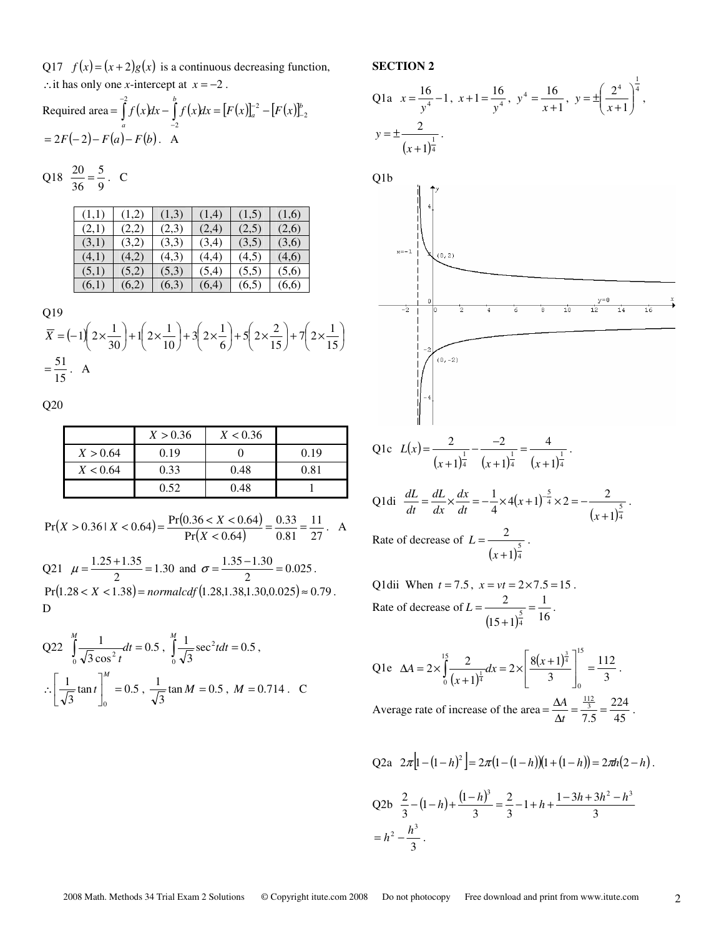Q17  $f(x) = (x+2)g(x)$  is a continuous decreasing function, ∴it has only one *x*-intercept at  $x = -2$ .

Required area = 
$$
\int_{a}^{-2} f(x)dx - \int_{-2}^{b} f(x)dx = [F(x)]_{a}^{-2} - [F(x)]_{-2}^{b}
$$
  
= 2F(-2)-F(a)-F(b). A

Q18 
$$
\frac{20}{36} = \frac{5}{9}
$$
. C

| (1,1) | (1,2) | (1,3) | (1,4) | (1,5) | (1,6) |
|-------|-------|-------|-------|-------|-------|
| (2,1) | (2,2) | (2,3) | (2,4) | (2,5) | (2,6) |
| (3,1) | (3,2) | (3,3) | (3,4) | (3,5) | (3,6) |
| (4,1) | (4,2) | (4,3) | (4,4) | (4,5) | (4,6) |
| (5,1) | (5,2) | (5,3) | (5,4) | (5,5) | (5,6) |
| (6,1) | (6,2) | (6,3) | (6,4) | (6,5) | (6.6) |

Q19

$$
\overline{X} = (-1)\left(2 \times \frac{1}{30}\right) + 1\left(2 \times \frac{1}{10}\right) + 3\left(2 \times \frac{1}{6}\right) + 5\left(2 \times \frac{2}{15}\right) + 7\left(2 \times \frac{1}{15}\right)
$$
  
=  $\frac{51}{15}$ . A

Q20

|          | X > 0.36 | X < 0.36 |      |
|----------|----------|----------|------|
| X > 0.64 | 0.19     |          | 0.19 |
| X < 0.64 | 0.33     | 0.48     | 0.81 |
|          | 0.52     | 0.48     |      |

$$
\Pr(X > 0.36 \mid X < 0.64) = \frac{\Pr(0.36 < X < 0.64)}{\Pr(X < 0.64)} = \frac{0.33}{0.81} = \frac{11}{27}. \quad \text{A}
$$

Q21  $\mu = \frac{1.25 + 1.55}{2} = 1.30$  $\mu = \frac{1.25 + 1.35}{2} = 1.30$  and  $\sigma = \frac{1.35 - 1.30}{2} = 0.025$  $\sigma = \frac{1.35 - 1.30}{2} = 0.025$ .  $Pr(1.28 < X < 1.38) = normalcdf(1.28, 1.38, 1.30, 0.025) \approx 0.79$ . D

Q22 
$$
\int_{0}^{M} \frac{1}{\sqrt{3} \cos^2 t} dt = 0.5
$$
,  $\int_{0}^{M} \frac{1}{\sqrt{3}} \sec^2 t dt = 0.5$ ,  

$$
\therefore \left[ \frac{1}{\sqrt{3}} \tan t \right]_{0}^{M} = 0.5
$$
,  $\frac{1}{\sqrt{3}} \tan M = 0.5$ ,  $M = 0.714$ . C

## **SECTION 2**

Q1a 
$$
x = \frac{16}{y^4} - 1
$$
,  $x + 1 = \frac{16}{y^4}$ ,  $y^4 = \frac{16}{x+1}$ ,  $y = \pm \left(\frac{2^4}{x+1}\right)^{\frac{1}{4}}$ ,  
\n $y = \pm \frac{2}{(x+1)^{\frac{1}{4}}}$ .  
\nQ1b  
\n $\left| \begin{array}{c} 1 \\ 4 \end{array} \right|$ 



Q1c 
$$
L(x) = \frac{2}{(x+1)^{\frac{1}{4}}} - \frac{-2}{(x+1)^{\frac{1}{4}}} = \frac{4}{(x+1)^{\frac{1}{4}}}.
$$

Q1di 
$$
\frac{dL}{dt} = \frac{dL}{dx} \times \frac{dx}{dt} = -\frac{1}{4} \times 4(x+1)^{-\frac{5}{4}} \times 2 = -\frac{2}{(x+1)^{\frac{5}{4}}}.
$$
  
Rate of decrease of  $L = \frac{2}{(x+1)^{\frac{5}{4}}}$ .

Q1dii When 
$$
t = 7.5
$$
,  $x = vt = 2 \times 7.5 = 15$ .  
Rate of decrease of  $L = \frac{2}{(15+1)^{\frac{5}{4}}} = \frac{1}{16}$ .

$$
\text{Q1e} \quad \Delta A = 2 \times \int_0^{15} \frac{2}{(x+1)^{\frac{1}{4}}} dx = 2 \times \left[ \frac{8(x+1)^{\frac{3}{4}}}{3} \right]_0^{15} = \frac{112}{3}.
$$
\n
$$
\text{Average rate of increase of the area} = \frac{\Delta A}{\Delta t} = \frac{\frac{112}{3}}{7.5} = \frac{224}{45}.
$$

Q2a 
$$
2\pi
$$
 $\left[1 - (1 - h)^2\right] = 2\pi (1 - (1 - h))(1 + (1 - h)) = 2\pi h(2 - h).$   
Q2b  $\frac{2}{3} - (1 - h) + \frac{(1 - h)^3}{3} = \frac{2}{3} - 1 + h + \frac{1 - 3h + 3h^2 - h^3}{3}$   
=  $h^2 - \frac{h^3}{3}.$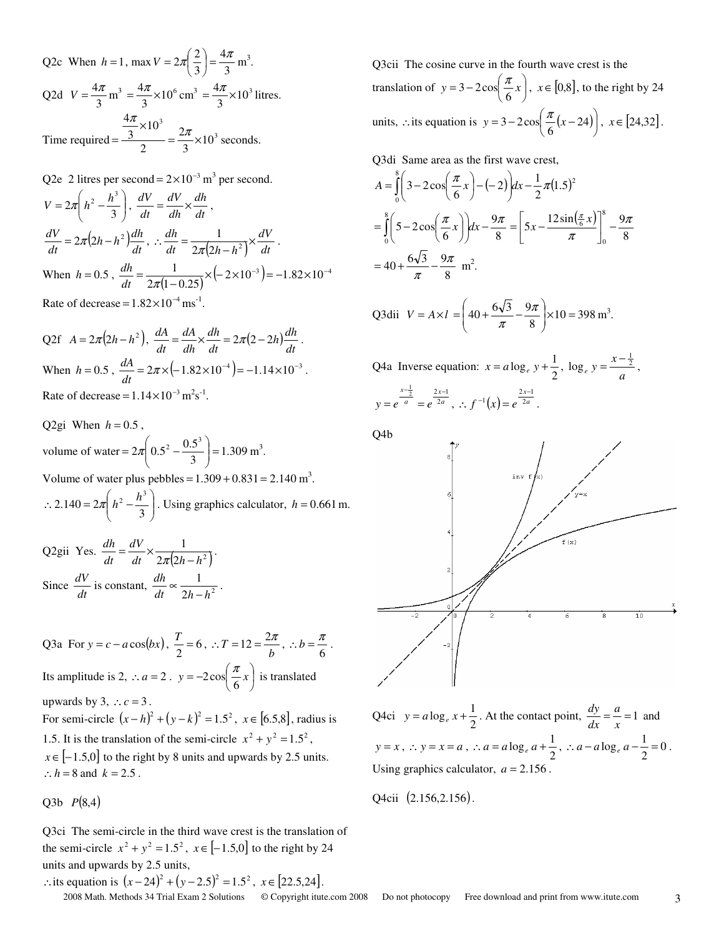Q2c When  $h = 1$ , max  $V = 2\pi \left(\frac{2}{3}\right) = \frac{3\pi}{3}$ 4 3  $2\pi\left(\frac{2}{3}\right) = \frac{4\pi}{3}$  $\left(\frac{2}{1}\right)$ ∖  $V = 2\pi \left(\frac{2}{2}\right) = \frac{4\pi}{2} \text{ m}^3.$ Q2d  $V = \frac{0.7}{3}$  $V = \frac{4\pi}{3} \text{ m}^3 = \frac{4\pi}{3} \times 10^6$  $=\frac{4\pi}{3}\times10^6 \text{ cm}^3 = \frac{4\pi}{3}\times10^3$  $=\frac{4\pi}{\lambda} \times 10^3$  litres. Time required =  $\frac{3}{2}$  =  $\frac{2\pi}{3} \times 10^3$ 3  $\frac{\pi}{3}$  × 10 2 2  $\frac{1}{3}$  × 10 4  $=\frac{2\pi}{2} \times$ ×  $=\frac{3}{2} = \frac{2\pi}{2}$ π seconds.

Q2e 2 litres per second = 
$$
2 \times 10^{-3}
$$
 m<sup>3</sup> per second.  
\n
$$
V = 2\pi \left( h^2 - \frac{h^3}{3} \right), \frac{dV}{dt} = \frac{dV}{dh} \times \frac{dh}{dt},
$$
\n
$$
\frac{dV}{dt} = 2\pi (2h - h^2) \frac{dh}{dt}, \therefore \frac{dh}{dt} = \frac{1}{2\pi (2h - h^2)} \times \frac{dV}{dt}.
$$
\nWhen  $h = 0.5$ ,  $\frac{dh}{dt} = \frac{1}{2\pi (1 - 0.25)} \times (-2 \times 10^{-3}) = -1.82 \times 10^{-4}$   
\nRate of decrease =  $1.82 \times 10^{-4}$  ms<sup>-1</sup>.

Q2f  $A = 2\pi (2h - h^2)$ ,  $\frac{dA}{dt} = \frac{dA}{dh} \times \frac{dh}{dt} = 2\pi (2 - 2h) \frac{dh}{dt}$ *dh dh dA dt*  $\frac{dA}{dt} = \frac{dA}{dt} \times \frac{dh}{dt} = 2\pi (2 - 2h) \frac{dh}{dt}.$ When  $h = 0.5$ ,  $\frac{dA}{dt} = 2\pi \times (-1.82 \times 10^{-4}) = -1.14 \times 10^{-3}$  $\frac{dA}{dt} = 2\pi \times (-1.82 \times 10^{-4}) = -1.14 \times 10^{-3}$ . Rate of decrease =  $1.14 \times 10^{-3}$  m<sup>2</sup>s<sup>-1</sup>.

Q2gi When  $h = 0.5$ , volume of water =  $2\pi \left( 0.5^2 - \frac{0.5^2}{3} \right) = 1.309$  $2\pi\left(0.5^2-\frac{0.5^3}{3}\right)$  = J  $\backslash$  $\parallel$ ∖ ſ  $= 2\pi \left| 0.5^2 - \frac{0.5}{2} \right| = 1.309 \text{ m}^3.$ Volume of water plus pebbles =  $1.309 + 0.831 = 2.140 \text{ m}^3$ .  $\overline{\phantom{a}}$ J  $\backslash$  $\overline{\phantom{a}}$ l ſ  $\therefore$  2.140 =  $2\pi \left( h^2 - \frac{h^3}{3} \right)$ . Using graphics calculator, *h* = 0.661 m.

Q2gii Yes.  $\frac{du}{dt} = \frac{dv}{dt} \times \frac{1}{2\pi(2h - h^2)}$ 1  $dt = 2\pi(2h - h)$ *dV dt dh* −  $=\frac{d\mathbf{r}}{dt}\times\frac{1}{2\pi(2h-h^2)}$ . Since  $\frac{dV}{dt}$  is constant,  $\frac{dh}{dt} \propto \frac{1}{2h - h^2}$ 1 *dt h h dh* −  $\propto \frac{1}{\sim 1 \cdot 1^2}$ .

Q3a For  $y = c - a \cos(bx)$ ,  $\frac{T}{2} = 6$ ,  $\therefore T = 12 = \frac{2\pi}{b}$ ,  $\therefore b = \frac{\pi}{6}$ . Its amplitude is 2, ∴ *a* = 2.  $y = -2\cos\left(\frac{\pi}{6}x\right)$  $\left(\frac{\pi}{x}\right)$ l  $y = -2\cos\left(\frac{\pi}{6}x\right)$  is translated upwards by 3,  $\therefore$  *c* = 3. For semi-circle  $(x-h)^2 + (y-k)^2 = 1.5^2$ ,  $x \in [6.5,8]$ , radius is 1.5. It is the translation of the semi-circle  $x^2 + y^2 = 1.5^2$ ,  $x \in [-1.5,0]$  to the right by 8 units and upwards by 2.5 units. ∴*h* = 8 and *k* = 2.5.

 $Q3b \quad P(8,4)$ 

Q3ci The semi-circle in the third wave crest is the translation of the semi-circle  $x^2 + y^2 = 1.5^2$ ,  $x \in [-1.5,0]$  to the right by 24 units and upwards by 2.5 units,

∴its equation is  $(x - 24)^2 + (y - 2.5)^2 = 1.5^2$ ,  $x \in [22.5, 24]$ .

Q3cii The cosine curve in the fourth wave crest is the translation of  $y = 3 - 2\cos\left(\frac{\pi}{6}x\right)$  $\left(\frac{\pi}{x}\right)$ l  $y = 3 - 2\cos\left(\frac{\pi}{6}x\right)$ ,  $x \in [0,8]$ , to the right by 24 units, ∴its equation is  $y = 3 - 2\cos\left(\frac{\pi}{6}(x - 24)\right)$  $\left(\frac{\pi}{4}(x-24)\right)$ l  $y = 3 - 2\cos\left(\frac{\pi}{6}(x - 24)\right), x \in [24, 32].$ 

Q3di Same area as the first wave crest,

$$
A = \int_{0}^{8} \left( 3 - 2\cos\left(\frac{\pi}{6}x\right) - (-2)\right) dx - \frac{1}{2}\pi (1.5)^{2}
$$
  
= 
$$
\int_{0}^{8} \left( 5 - 2\cos\left(\frac{\pi}{6}x\right) \right) dx - \frac{9\pi}{8} = \left[ 5x - \frac{12\sin\left(\frac{\pi}{6}x\right)}{\pi} \right]_{0}^{8} - \frac{9\pi}{8}
$$
  
= 
$$
40 + \frac{6\sqrt{3}}{\pi} - \frac{9\pi}{8} \text{ m}^{2}.
$$

Q3dii 
$$
V = A \times l = \left(40 + \frac{6\sqrt{3}}{\pi} - \frac{9\pi}{8}\right) \times 10 = 398 \text{ m}^3.
$$

Q4a Inverse equation:  $x = a \log_e y + \frac{1}{2}$  $x = a \log_e y + \frac{1}{2}, \log_e y = \frac{x - a}{a}$  $\log_e y = \frac{x - \frac{1}{2}}{2}$ , *a x a x*  $y = e^{\frac{x-\frac{1}{2}}{a}} = e^{\frac{2x-1}{2a}}, \therefore f^{-1}(x) = e^{\frac{2x-1}{2a}}$  $f^{-1}(x) = e^{-2}$ ∴  $f^{-1}(x) = e^{\frac{2x-1}{2a}}$ .

Q4b



Q4ci  $y = a \log_e x + \frac{1}{2}$  $y = a \log_e x + \frac{1}{2}$ . At the contact point,  $\frac{dy}{dx} = \frac{a}{x} = 1$ *a*  $\frac{dy}{dx} = \frac{a}{x} = 1$  and  $y = x$ ,  $\therefore$   $y = x = a$ ,  $\therefore$   $a = a \log_e a + \frac{1}{2}$ ,  $\therefore$   $a - a \log_e a - \frac{1}{2} = 0$ . Using graphics calculator,  $a = 2.156$ .

Q4cii (2.156,2.156).